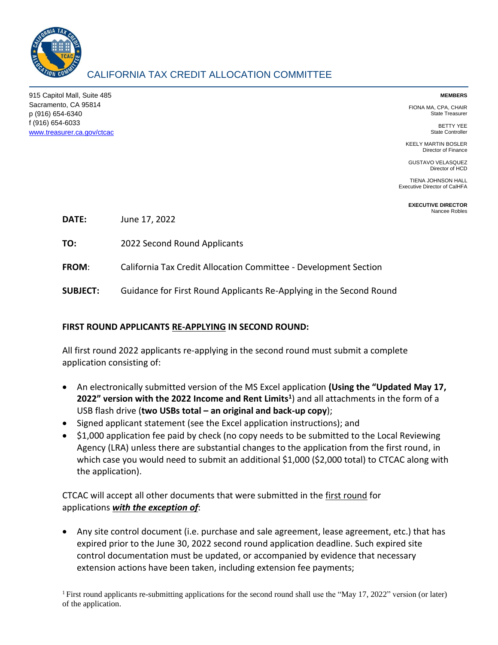

## CALIFORNIA TAX CREDIT ALLOCATION COMMITTEE

915 Capitol Mall, Suite 485 Sacramento, CA 95814 p (916) 654-6340 f (916) 654-6033 [www.treasurer.ca.gov/ctcac](http://www.treasurer.ca.gov/ctcac)

## **MEMBERS**

FIONA MA, CPA, CHAIR State Treasurer

> BETTY YEE State Controller

KEELY MARTIN BOSLER Director of Finance

GUSTAVO VELASQUEZ Director of HCD

TIENA JOHNSON HALL Executive Director of CalHFA

> **EXECUTIVE DIRECTOR** Nancee Robles

**DATE:** June 17, 2022

**TO:** 2022 Second Round Applicants

**FROM**: California Tax Credit Allocation Committee - Development Section

**SUBJECT:** Guidance for First Round Applicants Re-Applying in the Second Round

## **FIRST ROUND APPLICANTS RE-APPLYING IN SECOND ROUND:**

All first round 2022 applicants re-applying in the second round must submit a complete application consisting of:

- An electronically submitted version of the MS Excel application **(Using the "Updated May 17, 2022" version with the 2022 Income and Rent Limits<sup>1</sup>** ) and all attachments in the form of a USB flash drive (**two USBs total – an original and back-up copy**);
- Signed applicant statement (see the Excel application instructions); and
- \$1,000 application fee paid by check (no copy needs to be submitted to the Local Reviewing Agency (LRA) unless there are substantial changes to the application from the first round, in which case you would need to submit an additional \$1,000 (\$2,000 total) to CTCAC along with the application).

CTCAC will accept all other documents that were submitted in the first round for applications *with the exception of*:

• Any site control document (i.e. purchase and sale agreement, lease agreement, etc.) that has expired prior to the June 30, 2022 second round application deadline. Such expired site control documentation must be updated, or accompanied by evidence that necessary extension actions have been taken, including extension fee payments;

<sup>1</sup>First round applicants re-submitting applications for the second round shall use the "May 17, 2022" version (or later) of the application.